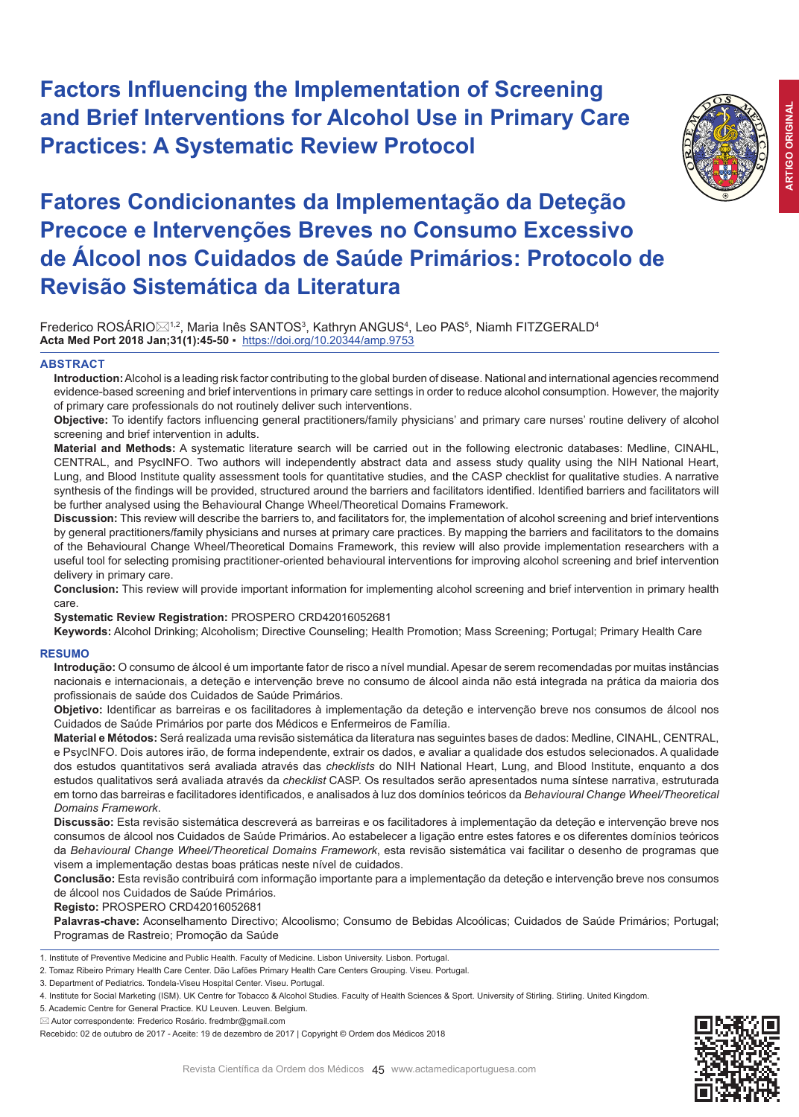

# **Fatores Condicionantes da Implementação da Deteção Precoce e Intervenções Breves no Consumo Excessivo de Álcool nos Cuidados de Saúde Primários: Protocolo de Revisão Sistemática da Literatura**

Frederico ROSARIO $\boxtimes^{i,2}$ , Maria Inês SANTOS $^{\rm 3}$ , Kathryn ANGUS $^{\rm 4}$ , Leo PAS $^{\rm 5}$ , Niamh FITZGERALD $^{\rm 4}$ **Acta Med Port 2018 Jan;31(1):45-50** ▪https://doi.org/10.20344/amp.9753

#### **ABSTRACT**

**Introduction:** Alcohol is a leading risk factor contributing to the global burden of disease. National and international agencies recommend evidence-based screening and brief interventions in primary care settings in order to reduce alcohol consumption. However, the majority of primary care professionals do not routinely deliver such interventions.

**Objective:** To identify factors influencing general practitioners/family physicians' and primary care nurses' routine delivery of alcohol screening and brief intervention in adults.

**Material and Methods:** A systematic literature search will be carried out in the following electronic databases: Medline, CINAHL, CENTRAL, and PsycINFO. Two authors will independently abstract data and assess study quality using the NIH National Heart, Lung, and Blood Institute quality assessment tools for quantitative studies, and the CASP checklist for qualitative studies. A narrative synthesis of the findings will be provided, structured around the barriers and facilitators identified. Identified barriers and facilitators will be further analysed using the Behavioural Change Wheel/Theoretical Domains Framework.

**Discussion:** This review will describe the barriers to, and facilitators for, the implementation of alcohol screening and brief interventions by general practitioners/family physicians and nurses at primary care practices. By mapping the barriers and facilitators to the domains of the Behavioural Change Wheel/Theoretical Domains Framework, this review will also provide implementation researchers with a useful tool for selecting promising practitioner-oriented behavioural interventions for improving alcohol screening and brief intervention delivery in primary care.

**Conclusion:** This review will provide important information for implementing alcohol screening and brief intervention in primary health care.

**Systematic Review Registration:** PROSPERO CRD42016052681

**Keywords:** Alcohol Drinking; Alcoholism; Directive Counseling; Health Promotion; Mass Screening; Portugal; Primary Health Care

## **RESUMO**

**Introdução:** O consumo de álcool é um importante fator de risco a nível mundial. Apesar de serem recomendadas por muitas instâncias nacionais e internacionais, a deteção e intervenção breve no consumo de álcool ainda não está integrada na prática da maioria dos profissionais de saúde dos Cuidados de Saúde Primários.

**Objetivo:** Identificar as barreiras e os facilitadores à implementação da deteção e intervenção breve nos consumos de álcool nos Cuidados de Saúde Primários por parte dos Médicos e Enfermeiros de Família.

**Material e Métodos:** Será realizada uma revisão sistemática da literatura nas seguintes bases de dados: Medline, CINAHL, CENTRAL, e PsycINFO. Dois autores irão, de forma independente, extrair os dados, e avaliar a qualidade dos estudos selecionados. A qualidade dos estudos quantitativos será avaliada através das *checklists* do NIH National Heart, Lung, and Blood Institute, enquanto a dos estudos qualitativos será avaliada através da *checklist* CASP. Os resultados serão apresentados numa síntese narrativa, estruturada em torno das barreiras e facilitadores identificados, e analisados à luz dos domínios teóricos da *Behavioural Change Wheel/Theoretical Domains Framework*.

**Discussão:** Esta revisão sistemática descreverá as barreiras e os facilitadores à implementação da deteção e intervenção breve nos consumos de álcool nos Cuidados de Saúde Primários. Ao estabelecer a ligação entre estes fatores e os diferentes domínios teóricos da *Behavioural Change Wheel/Theoretical Domains Framework*, esta revisão sistemática vai facilitar o desenho de programas que visem a implementação destas boas práticas neste nível de cuidados.

**Conclusão:** Esta revisão contribuirá com informação importante para a implementação da deteção e intervenção breve nos consumos de álcool nos Cuidados de Saúde Primários.

**Registo:** PROSPERO CRD42016052681

**Palavras-chave:** Aconselhamento Directivo; Alcoolismo; Consumo de Bebidas Alcoólicas; Cuidados de Saúde Primários; Portugal; Programas de Rastreio; Promoção da Saúde

5. Academic Centre for General Practice. KU Leuven. Leuven. Belgium.



<sup>1.</sup> Institute of Preventive Medicine and Public Health. Faculty of Medicine. Lisbon University. Lisbon. Portugal.

<sup>2.</sup> Tomaz Ribeiro Primary Health Care Center. Dão Lafões Primary Health Care Centers Grouping. Viseu. Portugal.

<sup>3.</sup> Department of Pediatrics. Tondela-Viseu Hospital Center. Viseu. Portugal.

<sup>4.</sup> Institute for Social Marketing (ISM). UK Centre for Tobacco & Alcohol Studies. Faculty of Health Sciences & Sport. University of Stirling. Stirling. United Kingdom.

Autor correspondente: Frederico Rosário. fredmbr@gmail.com

Recebido: 02 de outubro de 2017 - Aceite: 19 de dezembro de 2017 | Copyright © Ordem dos Médicos 2018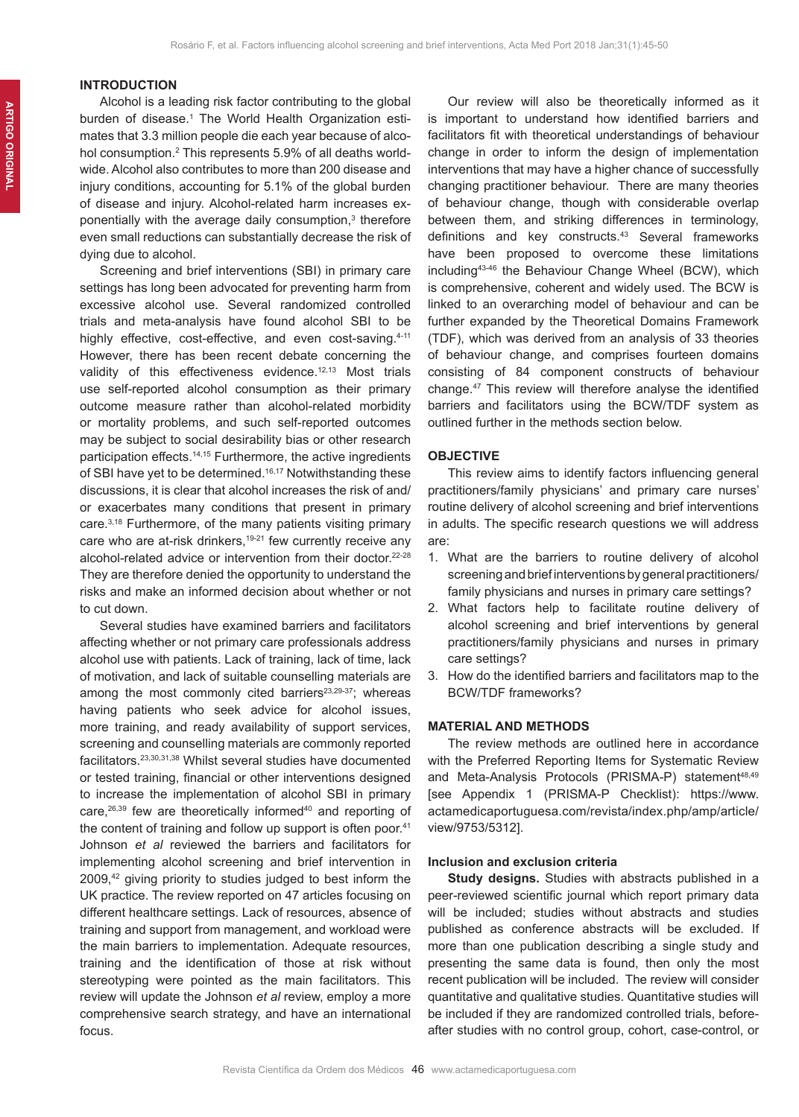#### **INTRODUCTION**

Alcohol is a leading risk factor contributing to the global burden of disease.<sup>1</sup> The World Health Organization estimates that 3.3 million people die each year because of alcohol consumption.<sup>2</sup> This represents 5.9% of all deaths worldwide. Alcohol also contributes to more than 200 disease and injury conditions, accounting for 5.1% of the global burden of disease and injury. Alcohol-related harm increases exponentially with the average daily consumption, $3$  therefore even small reductions can substantially decrease the risk of dying due to alcohol.

Screening and brief interventions (SBI) in primary care settings has long been advocated for preventing harm from excessive alcohol use. Several randomized controlled trials and meta-analysis have found alcohol SBI to be highly effective, cost-effective, and even cost-saving.<sup>4-11</sup> However, there has been recent debate concerning the validity of this effectiveness evidence.<sup>12,13</sup> Most trials use self-reported alcohol consumption as their primary outcome measure rather than alcohol-related morbidity or mortality problems, and such self-reported outcomes may be subject to social desirability bias or other research participation effects.<sup>14,15</sup> Furthermore, the active ingredients of SBI have yet to be determined.<sup>16,17</sup> Notwithstanding these discussions, it is clear that alcohol increases the risk of and/ or exacerbates many conditions that present in primary care.<sup>3,18</sup> Furthermore, of the many patients visiting primary care who are at-risk drinkers,<sup>19-21</sup> few currently receive any alcohol-related advice or intervention from their doctor.<sup>22-28</sup> They are therefore denied the opportunity to understand the risks and make an informed decision about whether or not to cut down.

Several studies have examined barriers and facilitators affecting whether or not primary care professionals address alcohol use with patients. Lack of training, lack of time, lack of motivation, and lack of suitable counselling materials are among the most commonly cited barriers $23,29-37$ ; whereas having patients who seek advice for alcohol issues, more training, and ready availability of support services, screening and counselling materials are commonly reported facilitators.23,30,31,38 Whilst several studies have documented or tested training, financial or other interventions designed to increase the implementation of alcohol SBI in primary care, $26,39$  few are theoretically informed<sup>40</sup> and reporting of the content of training and follow up support is often poor.<sup>41</sup> Johnson *et al* reviewed the barriers and facilitators for implementing alcohol screening and brief intervention in 2009,<sup>42</sup> giving priority to studies judged to best inform the UK practice. The review reported on 47 articles focusing on different healthcare settings. Lack of resources, absence of training and support from management, and workload were the main barriers to implementation. Adequate resources, training and the identification of those at risk without stereotyping were pointed as the main facilitators. This review will update the Johnson *et al* review, employ a more comprehensive search strategy, and have an international focus.

Our review will also be theoretically informed as it is important to understand how identified barriers and facilitators fit with theoretical understandings of behaviour change in order to inform the design of implementation interventions that may have a higher chance of successfully changing practitioner behaviour. There are many theories of behaviour change, though with considerable overlap between them, and striking differences in terminology, definitions and key constructs.<sup>43</sup> Several frameworks have been proposed to overcome these limitations including43-46 the Behaviour Change Wheel (BCW), which is comprehensive, coherent and widely used. The BCW is linked to an overarching model of behaviour and can be further expanded by the Theoretical Domains Framework (TDF), which was derived from an analysis of 33 theories of behaviour change, and comprises fourteen domains consisting of 84 component constructs of behaviour change.47 This review will therefore analyse the identified barriers and facilitators using the BCW/TDF system as outlined further in the methods section below.

#### **OBJECTIVE**

This review aims to identify factors influencing general practitioners/family physicians' and primary care nurses' routine delivery of alcohol screening and brief interventions in adults. The specific research questions we will address are:

- 1. What are the barriers to routine delivery of alcohol screening and brief interventions by general practitioners/ family physicians and nurses in primary care settings?
- 2. What factors help to facilitate routine delivery of alcohol screening and brief interventions by general practitioners/family physicians and nurses in primary care settings?
- 3. How do the identified barriers and facilitators map to the BCW/TDF frameworks?

## **MATERIAL AND METHODS**

The review methods are outlined here in accordance with the Preferred Reporting Items for Systematic Review and Meta-Analysis Protocols (PRISMA-P) statement<sup>48,49</sup> [see Appendix 1 (PRISMA-P Checklist): https://www. actamedicaportuguesa.com/revista/index.php/amp/article/ view/9753/5312].

#### **Inclusion and exclusion criteria**

**Study designs.** Studies with abstracts published in a peer-reviewed scientific journal which report primary data will be included; studies without abstracts and studies published as conference abstracts will be excluded. If more than one publication describing a single study and presenting the same data is found, then only the most recent publication will be included. The review will consider quantitative and qualitative studies. Quantitative studies will be included if they are randomized controlled trials, beforeafter studies with no control group, cohort, case-control, or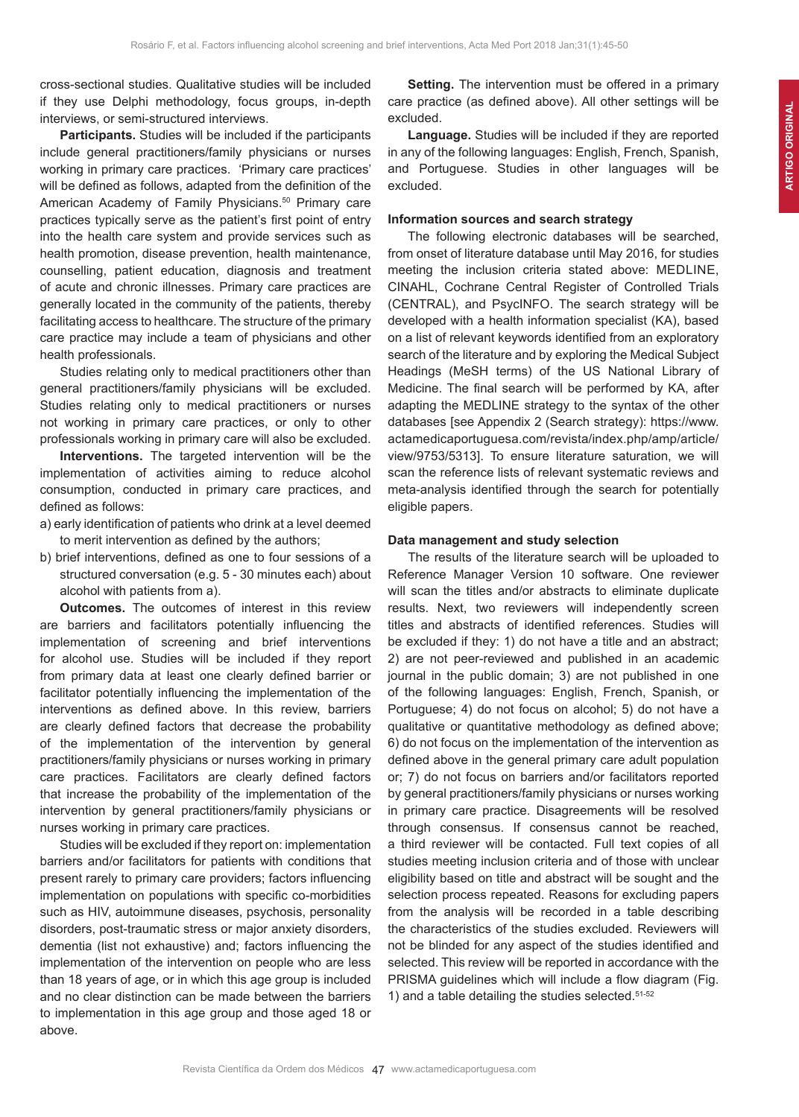cross-sectional studies. Qualitative studies will be included if they use Delphi methodology, focus groups, in-depth interviews, or semi-structured interviews.

**Participants.** Studies will be included if the participants include general practitioners/family physicians or nurses working in primary care practices. 'Primary care practices' will be defined as follows, adapted from the definition of the American Academy of Family Physicians.<sup>50</sup> Primary care practices typically serve as the patient's first point of entry into the health care system and provide services such as health promotion, disease prevention, health maintenance, counselling, patient education, diagnosis and treatment of acute and chronic illnesses. Primary care practices are generally located in the community of the patients, thereby facilitating access to healthcare. The structure of the primary care practice may include a team of physicians and other health professionals.

Studies relating only to medical practitioners other than general practitioners/family physicians will be excluded. Studies relating only to medical practitioners or nurses not working in primary care practices, or only to other professionals working in primary care will also be excluded.

**Interventions.** The targeted intervention will be the implementation of activities aiming to reduce alcohol consumption, conducted in primary care practices, and defined as follows:

- a) early identification of patients who drink at a level deemed to merit intervention as defined by the authors;
- b) brief interventions, defined as one to four sessions of a structured conversation (e.g. 5 - 30 minutes each) about alcohol with patients from a).

**Outcomes.** The outcomes of interest in this review are barriers and facilitators potentially influencing the implementation of screening and brief interventions for alcohol use. Studies will be included if they report from primary data at least one clearly defined barrier or facilitator potentially influencing the implementation of the interventions as defined above. In this review, barriers are clearly defined factors that decrease the probability of the implementation of the intervention by general practitioners/family physicians or nurses working in primary care practices. Facilitators are clearly defined factors that increase the probability of the implementation of the intervention by general practitioners/family physicians or nurses working in primary care practices.

Studies will be excluded if they report on: implementation barriers and/or facilitators for patients with conditions that present rarely to primary care providers; factors influencing implementation on populations with specific co-morbidities such as HIV, autoimmune diseases, psychosis, personality disorders, post-traumatic stress or major anxiety disorders, dementia (list not exhaustive) and; factors influencing the implementation of the intervention on people who are less than 18 years of age, or in which this age group is included and no clear distinction can be made between the barriers to implementation in this age group and those aged 18 or above.

**Setting.** The intervention must be offered in a primary care practice (as defined above). All other settings will be excluded.

**Language.** Studies will be included if they are reported in any of the following languages: English, French, Spanish, and Portuguese. Studies in other languages will be excluded.

#### **Information sources and search strategy**

The following electronic databases will be searched, from onset of literature database until May 2016, for studies meeting the inclusion criteria stated above: MEDLINE, CINAHL, Cochrane Central Register of Controlled Trials (CENTRAL), and PsycINFO. The search strategy will be developed with a health information specialist (KA), based on a list of relevant keywords identified from an exploratory search of the literature and by exploring the Medical Subject Headings (MeSH terms) of the US National Library of Medicine. The final search will be performed by KA, after adapting the MEDLINE strategy to the syntax of the other databases [see Appendix 2 (Search strategy): https://www. actamedicaportuguesa.com/revista/index.php/amp/article/ view/9753/5313]. To ensure literature saturation, we will scan the reference lists of relevant systematic reviews and meta-analysis identified through the search for potentially eligible papers.

#### **Data management and study selection**

The results of the literature search will be uploaded to Reference Manager Version 10 software. One reviewer will scan the titles and/or abstracts to eliminate duplicate results. Next, two reviewers will independently screen titles and abstracts of identified references. Studies will be excluded if they: 1) do not have a title and an abstract; 2) are not peer-reviewed and published in an academic journal in the public domain; 3) are not published in one of the following languages: English, French, Spanish, or Portuguese; 4) do not focus on alcohol; 5) do not have a qualitative or quantitative methodology as defined above; 6) do not focus on the implementation of the intervention as defined above in the general primary care adult population or; 7) do not focus on barriers and/or facilitators reported by general practitioners/family physicians or nurses working in primary care practice. Disagreements will be resolved through consensus. If consensus cannot be reached, a third reviewer will be contacted. Full text copies of all studies meeting inclusion criteria and of those with unclear eligibility based on title and abstract will be sought and the selection process repeated. Reasons for excluding papers from the analysis will be recorded in a table describing the characteristics of the studies excluded. Reviewers will not be blinded for any aspect of the studies identified and selected. This review will be reported in accordance with the PRISMA guidelines which will include a flow diagram (Fig. 1) and a table detailing the studies selected.<sup>51-52</sup>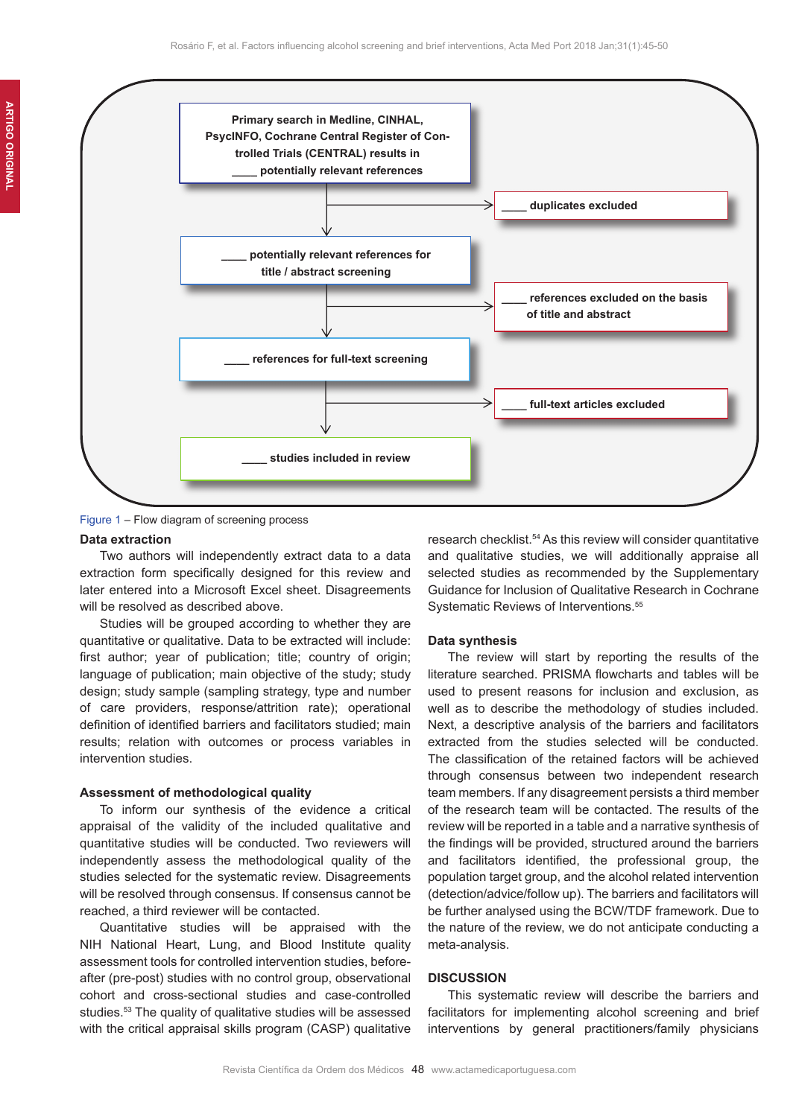

Figure 1 – Flow diagram of screening process

## **Data extraction**

Two authors will independently extract data to a data extraction form specifically designed for this review and later entered into a Microsoft Excel sheet. Disagreements will be resolved as described above.

Studies will be grouped according to whether they are quantitative or qualitative. Data to be extracted will include: first author; year of publication; title; country of origin; language of publication; main objective of the study; study design; study sample (sampling strategy, type and number of care providers, response/attrition rate); operational definition of identified barriers and facilitators studied; main results; relation with outcomes or process variables in intervention studies.

## **Assessment of methodological quality**

To inform our synthesis of the evidence a critical appraisal of the validity of the included qualitative and quantitative studies will be conducted. Two reviewers will independently assess the methodological quality of the studies selected for the systematic review. Disagreements will be resolved through consensus. If consensus cannot be reached, a third reviewer will be contacted.

Quantitative studies will be appraised with the NIH National Heart, Lung, and Blood Institute quality assessment tools for controlled intervention studies, beforeafter (pre-post) studies with no control group, observational cohort and cross-sectional studies and case-controlled studies.<sup>53</sup> The quality of qualitative studies will be assessed with the critical appraisal skills program (CASP) qualitative

research checklist.<sup>54</sup> As this review will consider quantitative and qualitative studies, we will additionally appraise all selected studies as recommended by the Supplementary Guidance for Inclusion of Qualitative Research in Cochrane Systematic Reviews of Interventions.<sup>55</sup>

### **Data synthesis**

The review will start by reporting the results of the literature searched. PRISMA flowcharts and tables will be used to present reasons for inclusion and exclusion, as well as to describe the methodology of studies included. Next, a descriptive analysis of the barriers and facilitators extracted from the studies selected will be conducted. The classification of the retained factors will be achieved through consensus between two independent research team members. If any disagreement persists a third member of the research team will be contacted. The results of the review will be reported in a table and a narrative synthesis of the findings will be provided, structured around the barriers and facilitators identified, the professional group, the population target group, and the alcohol related intervention (detection/advice/follow up). The barriers and facilitators will be further analysed using the BCW/TDF framework. Due to the nature of the review, we do not anticipate conducting a meta-analysis.

## **DISCUSSION**

This systematic review will describe the barriers and facilitators for implementing alcohol screening and brief interventions by general practitioners/family physicians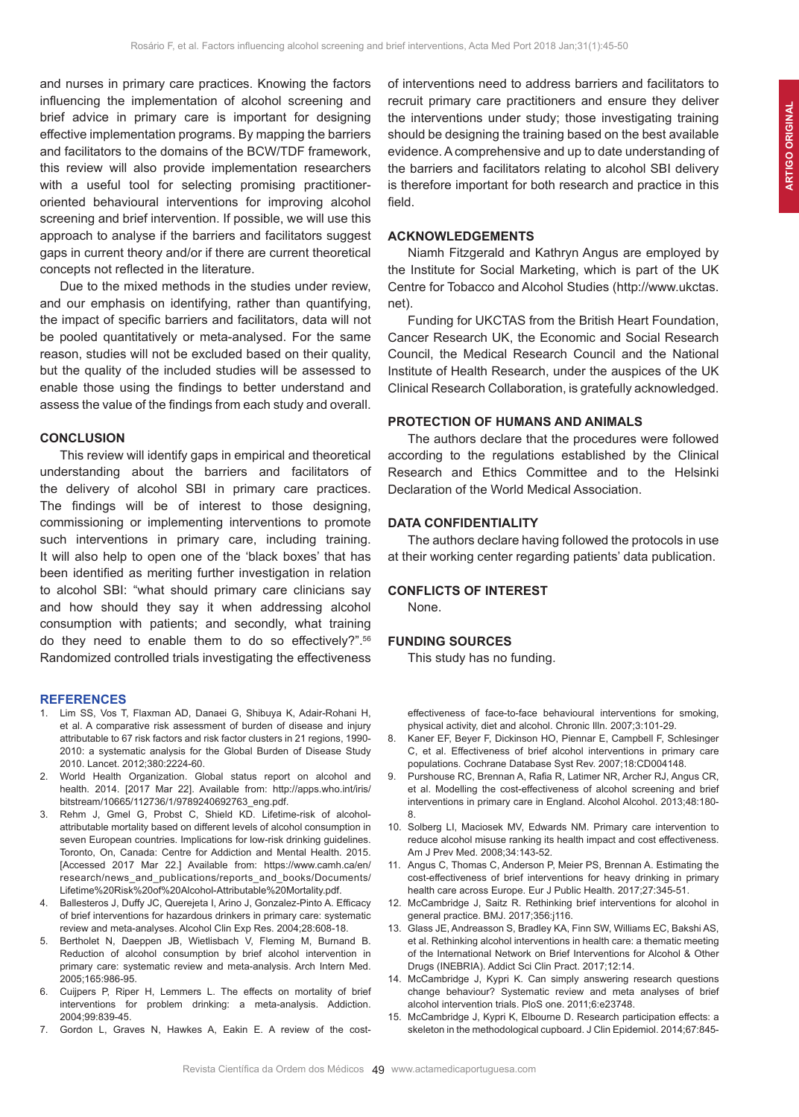and nurses in primary care practices. Knowing the factors influencing the implementation of alcohol screening and brief advice in primary care is important for designing effective implementation programs. By mapping the barriers and facilitators to the domains of the BCW/TDF framework, this review will also provide implementation researchers with a useful tool for selecting promising practitioneroriented behavioural interventions for improving alcohol screening and brief intervention. If possible, we will use this approach to analyse if the barriers and facilitators suggest gaps in current theory and/or if there are current theoretical concepts not reflected in the literature.

Due to the mixed methods in the studies under review, and our emphasis on identifying, rather than quantifying, the impact of specific barriers and facilitators, data will not be pooled quantitatively or meta-analysed. For the same reason, studies will not be excluded based on their quality, but the quality of the included studies will be assessed to enable those using the findings to better understand and assess the value of the findings from each study and overall.

#### **CONCLUSION**

This review will identify gaps in empirical and theoretical understanding about the barriers and facilitators of the delivery of alcohol SBI in primary care practices. The findings will be of interest to those designing, commissioning or implementing interventions to promote such interventions in primary care, including training. It will also help to open one of the 'black boxes' that has been identified as meriting further investigation in relation to alcohol SBI: "what should primary care clinicians say and how should they say it when addressing alcohol consumption with patients; and secondly, what training do they need to enable them to do so effectively?".56 Randomized controlled trials investigating the effectiveness

#### **REFERENCES**

- 1. Lim SS, Vos T, Flaxman AD, Danaei G, Shibuya K, Adair-Rohani H, et al. A comparative risk assessment of burden of disease and injury attributable to 67 risk factors and risk factor clusters in 21 regions, 1990- 2010: a systematic analysis for the Global Burden of Disease Study 2010. Lancet. 2012;380:2224-60.
- 2. World Health Organization. Global status report on alcohol and health. 2014. [2017 Mar 22]. Available from: http://apps.who.int/iris/ bitstream/10665/112736/1/9789240692763\_eng.pdf.
- 3. Rehm J, Gmel G, Probst C, Shield KD. Lifetime-risk of alcoholattributable mortality based on different levels of alcohol consumption in seven European countries. Implications for low-risk drinking guidelines. Toronto, On, Canada: Centre for Addiction and Mental Health. 2015. [Accessed 2017 Mar 22.] Available from: https://www.camh.ca/en/ research/news\_and\_publications/reports\_and\_books/Documents/ Lifetime%20Risk%20of%20Alcohol-Attributable%20Mortality.pdf.
- 4. Ballesteros J, Duffy JC, Querejeta I, Arino J, Gonzalez-Pinto A. Efficacy of brief interventions for hazardous drinkers in primary care: systematic review and meta-analyses. Alcohol Clin Exp Res. 2004;28:608-18.
- 5. Bertholet N, Daeppen JB, Wietlisbach V, Fleming M, Burnand B. Reduction of alcohol consumption by brief alcohol intervention in primary care: systematic review and meta-analysis. Arch Intern Med. 2005;165:986-95.
- 6. Cuijpers P, Riper H, Lemmers L. The effects on mortality of brief interventions for problem drinking: a meta-analysis. Addiction. 2004;99:839-45.
- 7. Gordon L, Graves N, Hawkes A, Eakin E. A review of the cost-

of interventions need to address barriers and facilitators to recruit primary care practitioners and ensure they deliver the interventions under study; those investigating training should be designing the training based on the best available evidence. A comprehensive and up to date understanding of the barriers and facilitators relating to alcohol SBI delivery is therefore important for both research and practice in this field.

# **ACKNOWLEDGEMENTS**

Niamh Fitzgerald and Kathryn Angus are employed by the Institute for Social Marketing, which is part of the UK Centre for Tobacco and Alcohol Studies (http://www.ukctas. net).

Funding for UKCTAS from the British Heart Foundation, Cancer Research UK, the Economic and Social Research Council, the Medical Research Council and the National Institute of Health Research, under the auspices of the UK Clinical Research Collaboration, is gratefully acknowledged.

# **PROTECTION OF HUMANS AND ANIMALS**

The authors declare that the procedures were followed according to the regulations established by the Clinical Research and Ethics Committee and to the Helsinki Declaration of the World Medical Association.

# **DATA CONFIDENTIALITY**

The authors declare having followed the protocols in use at their working center regarding patients' data publication.

## **CONFLICTS OF INTEREST**

None.

# **FUNDING SOURCES**

This study has no funding.

effectiveness of face-to-face behavioural interventions for smoking, physical activity, diet and alcohol. Chronic Illn. 2007;3:101-29.

- 8. Kaner EF, Beyer F, Dickinson HO, Piennar E, Campbell F, Schlesinger C, et al. Effectiveness of brief alcohol interventions in primary care populations. Cochrane Database Syst Rev. 2007;18:CD004148.
- 9. Purshouse RC, Brennan A, Rafia R, Latimer NR, Archer RJ, Angus CR, et al. Modelling the cost-effectiveness of alcohol screening and brief interventions in primary care in England. Alcohol Alcohol. 2013;48:180- 8.
- 10. Solberg LI, Maciosek MV, Edwards NM. Primary care intervention to reduce alcohol misuse ranking its health impact and cost effectiveness. Am J Prev Med. 2008;34:143-52.
- 11. Angus C, Thomas C, Anderson P, Meier PS, Brennan A. Estimating the cost-effectiveness of brief interventions for heavy drinking in primary health care across Europe. Eur J Public Health. 2017;27:345-51.
- 12. McCambridge J, Saitz R. Rethinking brief interventions for alcohol in general practice. BMJ. 2017;356:j116.
- 13. Glass JE, Andreasson S, Bradley KA, Finn SW, Williams EC, Bakshi AS, et al. Rethinking alcohol interventions in health care: a thematic meeting of the International Network on Brief Interventions for Alcohol & Other Drugs (INEBRIA). Addict Sci Clin Pract. 2017;12:14.
- 14. McCambridge J, Kypri K. Can simply answering research questions change behaviour? Systematic review and meta analyses of brief alcohol intervention trials. PloS one. 2011;6:e23748.
- 15. McCambridge J, Kypri K, Elbourne D. Research participation effects: a skeleton in the methodological cupboard. J Clin Epidemiol. 2014;67:845-